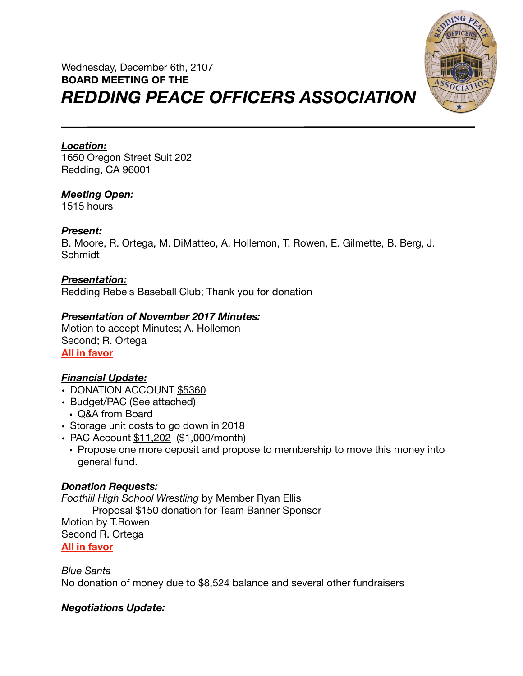# Wednesday, December 6th, 2107 **BOARD MEETING OF THE**  *REDDING PEACE OFFICERS ASSOCIATION*



# *Location:*

1650 Oregon Street Suit 202 Redding, CA 96001

## *Meeting Open:*

1515 hours

### *Present:*

B. Moore, R. Ortega, M. DiMatteo, A. Hollemon, T. Rowen, E. Gilmette, B. Berg, J. Schmidt

### *Presentation:*

Redding Rebels Baseball Club; Thank you for donation

## *Presentation of November 2017 Minutes:*

Motion to accept Minutes; A. Hollemon Second; R. Ortega **All in favor** 

# *Financial Update:*

- DONATION ACCOUNT \$5360
- Budget/PAC (See attached)
	- Q&A from Board
- Storage unit costs to go down in 2018
- PAC Account \$11,202 (\$1,000/month)
	- Propose one more deposit and propose to membership to move this money into general fund.

# *Donation Requests:*

*Foothill High School Wrestling* by Member Ryan Ellis Proposal \$150 donation for Team Banner Sponsor Motion by T.Rowen Second R. Ortega **All in favor** 

*Blue Santa*  No donation of money due to \$8,524 balance and several other fundraisers

### *Negotiations Update:*